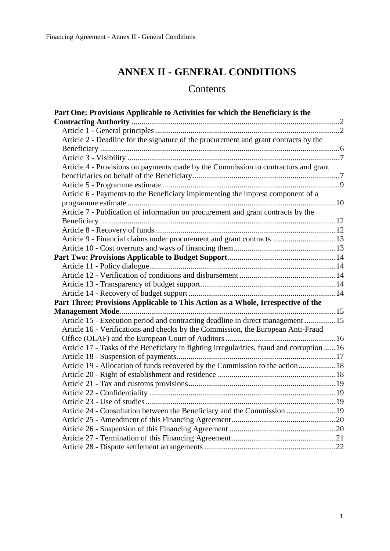# **ANNEX II - GENERAL CONDITIONS**

# Contents

| Part One: Provisions Applicable to Activities for which the Beneficiary is the             |  |
|--------------------------------------------------------------------------------------------|--|
|                                                                                            |  |
|                                                                                            |  |
| Article 2 - Deadline for the signature of the procurement and grant contracts by the       |  |
|                                                                                            |  |
|                                                                                            |  |
| Article 4 - Provisions on payments made by the Commission to contractors and grant         |  |
|                                                                                            |  |
|                                                                                            |  |
| Article 6 - Payments to the Beneficiary implementing the imprest component of a            |  |
|                                                                                            |  |
| Article 7 - Publication of information on procurement and grant contracts by the           |  |
|                                                                                            |  |
|                                                                                            |  |
| Article 9 - Financial claims under procurement and grant contracts13                       |  |
|                                                                                            |  |
|                                                                                            |  |
|                                                                                            |  |
|                                                                                            |  |
|                                                                                            |  |
|                                                                                            |  |
| Part Three: Provisions Applicable to This Action as a Whole, Irrespective of the           |  |
|                                                                                            |  |
| Article 15 - Execution period and contracting deadline in direct management 15             |  |
| Article 16 - Verifications and checks by the Commission, the European Anti-Fraud           |  |
|                                                                                            |  |
| Article 17 - Tasks of the Beneficiary in fighting irregularities, fraud and corruption  16 |  |
|                                                                                            |  |
| Article 19 - Allocation of funds recovered by the Commission to the action 18              |  |
|                                                                                            |  |
|                                                                                            |  |
|                                                                                            |  |
|                                                                                            |  |
| Article 24 - Consultation between the Beneficiary and the Commission 19                    |  |
|                                                                                            |  |
|                                                                                            |  |
|                                                                                            |  |
|                                                                                            |  |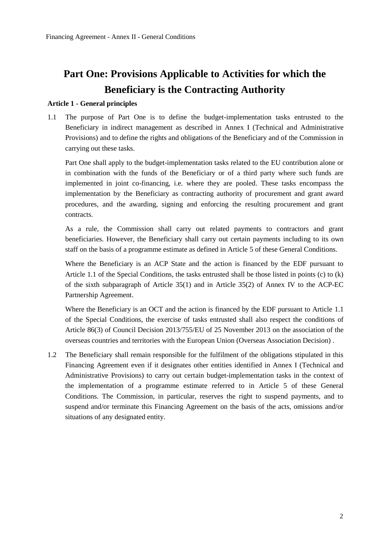# <span id="page-1-0"></span>**Part One: Provisions Applicable to Activities for which the Beneficiary is the Contracting Authority**

### <span id="page-1-1"></span>**Article 1 - General principles**

1.1 The purpose of Part One is to define the budget-implementation tasks entrusted to the Beneficiary in indirect management as described in Annex I (Technical and Administrative Provisions) and to define the rights and obligations of the Beneficiary and of the Commission in carrying out these tasks.

Part One shall apply to the budget-implementation tasks related to the EU contribution alone or in combination with the funds of the Beneficiary or of a third party where such funds are implemented in joint co-financing, i.e. where they are pooled. These tasks encompass the implementation by the Beneficiary as contracting authority of procurement and grant award procedures, and the awarding, signing and enforcing the resulting procurement and grant contracts.

As a rule, the Commission shall carry out related payments to contractors and grant beneficiaries. However, the Beneficiary shall carry out certain payments including to its own staff on the basis of a programme estimate as defined in Article 5 of these General Conditions.

Where the Beneficiary is an ACP State and the action is financed by the EDF pursuant to Article 1.1 of the Special Conditions, the tasks entrusted shall be those listed in points (c) to (k) of the sixth subparagraph of Article 35(1) and in Article 35(2) of Annex IV to the ACP-EC Partnership Agreement.

Where the Beneficiary is an OCT and the action is financed by the EDF pursuant to Article 1.1 of the Special Conditions, the exercise of tasks entrusted shall also respect the conditions of Article 86(3) of Council Decision 2013/755/EU of 25 November 2013 on the association of the overseas countries and territories with the European Union (Overseas Association Decision) .

1.2 The Beneficiary shall remain responsible for the fulfilment of the obligations stipulated in this Financing Agreement even if it designates other entities identified in Annex I (Technical and Administrative Provisions) to carry out certain budget-implementation tasks in the context of the implementation of a programme estimate referred to in Article 5 of these General Conditions. The Commission, in particular, reserves the right to suspend payments, and to suspend and/or terminate this Financing Agreement on the basis of the acts, omissions and/or situations of any designated entity.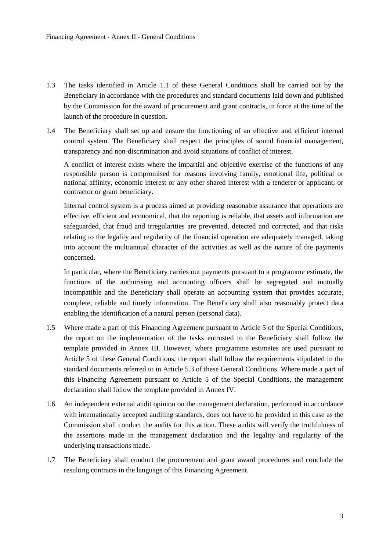- 1.3 The tasks identified in Article 1.1 of these General Conditions shall be carried out by the Beneficiary in accordance with the procedures and standard documents laid down and published by the Commission for the award of procurement and grant contracts, in force at the time of the launch of the procedure in question.
- 1.4 The Beneficiary shall set up and ensure the functioning of an effective and efficient internal control system. The Beneficiary shall respect the principles of sound financial management, transparency and non-discrimination and avoid situations of conflict of interest.

A conflict of interest exists where the impartial and objective exercise of the functions of any responsible person is compromised for reasons involving family, emotional life, political or national affinity, economic interest or any other shared interest with a tenderer or applicant, or contractor or grant beneficiary.

Internal control system is a process aimed at providing reasonable assurance that operations are effective, efficient and economical, that the reporting is reliable, that assets and information are safeguarded, that fraud and irregularities are prevented, detected and corrected, and that risks relating to the legality and regularity of the financial operation are adequately managed, taking into account the multiannual character of the activities as well as the nature of the payments concerned.

In particular, where the Beneficiary carries out payments pursuant to a programme estimate, the functions of the authorising and accounting officers shall be segregated and mutually incompatible and the Beneficiary shall operate an accounting system that provides accurate, complete, reliable and timely information. The Beneficiary shall also reasonably protect data enabling the identification of a natural person (personal data).

- 1.5 Where made a part of this Financing Agreement pursuant to Article 5 of the Special Conditions, the report on the implementation of the tasks entrusted to the Beneficiary shall follow the template provided in Annex III. However, where programme estimates are used pursuant to Article 5 of these General Conditions, the report shall follow the requirements stipulated in the standard documents referred to in Article 5.3 of these General Conditions. Where made a part of this Financing Agreement pursuant to Article 5 of the Special Conditions, the management declaration shall follow the template provided in Annex IV.
- 1.6 An independent external audit opinion on the management declaration, performed in accordance with internationally accepted auditing standards, does not have to be provided in this case as the Commission shall conduct the audits for this action. These audits will verify the truthfulness of the assertions made in the management declaration and the legality and regularity of the underlying transactions made.
- 1.7 The Beneficiary shall conduct the procurement and grant award procedures and conclude the resulting contracts in the language of this Financing Agreement.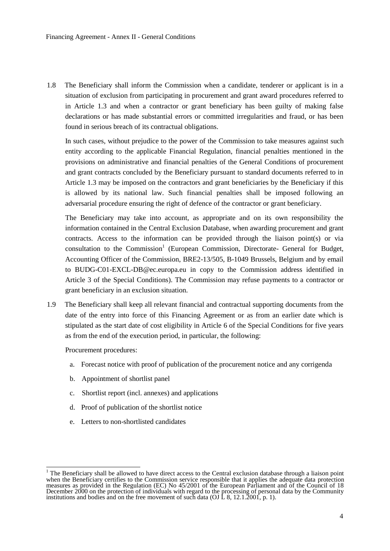1.8 The Beneficiary shall inform the Commission when a candidate, tenderer or applicant is in a situation of exclusion from participating in procurement and grant award procedures referred to in Article 1.3 and when a contractor or grant beneficiary has been guilty of making false declarations or has made substantial errors or committed irregularities and fraud, or has been found in serious breach of its contractual obligations.

In such cases, without prejudice to the power of the Commission to take measures against such entity according to the applicable Financial Regulation, financial penalties mentioned in the provisions on administrative and financial penalties of the General Conditions of procurement and grant contracts concluded by the Beneficiary pursuant to standard documents referred to in Article 1.3 may be imposed on the contractors and grant beneficiaries by the Beneficiary if this is allowed by its national law. Such financial penalties shall be imposed following an adversarial procedure ensuring the right of defence of the contractor or grant beneficiary.

The Beneficiary may take into account, as appropriate and on its own responsibility the information contained in the Central Exclusion Database, when awarding procurement and grant contracts. Access to the information can be provided through the liaison point(s) or via consultation to the Commission<sup>1</sup> (European Commission, Directorate- General for Budget, Accounting Officer of the Commission, BRE2-13/505, B-1049 Brussels, Belgium and by email to [BUDG-C01-EXCL-DB@ec.europa.eu](mailto:BUDG-C01-EXCL-DB@ec.europa.eu) in copy to the Commission address identified in Article 3 of the Special Conditions). The Commission may refuse payments to a contractor or grant beneficiary in an exclusion situation.

1.9 The Beneficiary shall keep all relevant financial and contractual supporting documents from the date of the entry into force of this Financing Agreement or as from an earlier date which is stipulated as the start date of cost eligibility in Article 6 of the Special Conditions for five years as from the end of the execution period, in particular, the following:

Procurement procedures:

- a. Forecast notice with proof of publication of the procurement notice and any corrigenda
- b. Appointment of shortlist panel
- c. Shortlist report (incl. annexes) and applications
- d. Proof of publication of the shortlist notice
- e. Letters to non-shortlisted candidates

  $1$  The Beneficiary shall be allowed to have direct access to the Central exclusion database through a liaison point when the Beneficiary certifies to the Commission service responsible that it applies the adequate data protection measures as provided in the Regulation (EC) No 45/2001 of the European Parliament and of the Council of 18 December 2000 on the protection of individuals with regard to the processing of personal data by the Community institutions and bodies and on the free movement of such data (OJ  $\angle$  8, 12.1.2001, p. 1).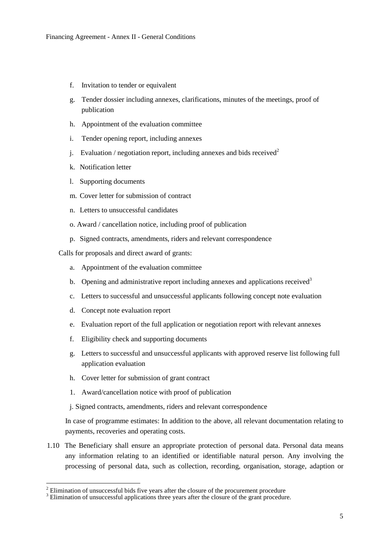- f. Invitation to tender or equivalent
- g. Tender dossier including annexes, clarifications, minutes of the meetings, proof of publication
- h. Appointment of the evaluation committee
- i. Tender opening report, including annexes
- j. Evaluation / negotiation report, including annexes and bids received<sup>2</sup>
- k. Notification letter
- l. Supporting documents
- m. Cover letter for submission of contract
- n. Letters to unsuccessful candidates
- o. Award / cancellation notice, including proof of publication
- p. Signed contracts, amendments, riders and relevant correspondence

Calls for proposals and direct award of grants:

- a. Appointment of the evaluation committee
- b. Opening and administrative report including annexes and applications received<sup>3</sup>
- c. Letters to successful and unsuccessful applicants following concept note evaluation
- d. Concept note evaluation report

 $\overline{a}$ 

- e. Evaluation report of the full application or negotiation report with relevant annexes
- f. Eligibility check and supporting documents
- g. Letters to successful and unsuccessful applicants with approved reserve list following full application evaluation
- h. Cover letter for submission of grant contract
- 1. Award/cancellation notice with proof of publication

j. Signed contracts, amendments, riders and relevant correspondence

In case of programme estimates: In addition to the above, all relevant documentation relating to payments, recoveries and operating costs.

1.10 The Beneficiary shall ensure an appropriate protection of personal data. Personal data means any information relating to an identified or identifiable natural person. Any involving the processing of personal data, such as collection, recording, organisation, storage, adaption or

<sup>2</sup> Elimination of unsuccessful bids five years after the closure of the procurement procedure

<sup>&</sup>lt;sup>3</sup> Elimination of unsuccessful applications three years after the closure of the grant procedure.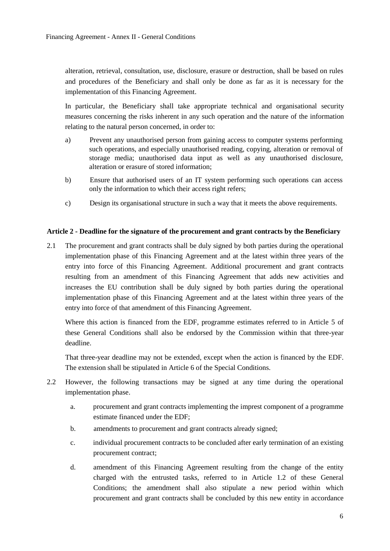alteration, retrieval, consultation, use, disclosure, erasure or destruction, shall be based on rules and procedures of the Beneficiary and shall only be done as far as it is necessary for the implementation of this Financing Agreement.

In particular, the Beneficiary shall take appropriate technical and organisational security measures concerning the risks inherent in any such operation and the nature of the information relating to the natural person concerned, in order to:

- a) Prevent any unauthorised person from gaining access to computer systems performing such operations, and especially unauthorised reading, copying, alteration or removal of storage media; unauthorised data input as well as any unauthorised disclosure, alteration or erasure of stored information;
- b) Ensure that authorised users of an IT system performing such operations can access only the information to which their access right refers;
- c) Design its organisational structure in such a way that it meets the above requirements.

# <span id="page-5-0"></span>**Article 2 - Deadline for the signature of the procurement and grant contracts by the Beneficiary**

2.1 The procurement and grant contracts shall be duly signed by both parties during the operational implementation phase of this Financing Agreement and at the latest within three years of the entry into force of this Financing Agreement. Additional procurement and grant contracts resulting from an amendment of this Financing Agreement that adds new activities and increases the EU contribution shall be duly signed by both parties during the operational implementation phase of this Financing Agreement and at the latest within three years of the entry into force of that amendment of this Financing Agreement.

Where this action is financed from the EDF, programme estimates referred to in Article 5 of these General Conditions shall also be endorsed by the Commission within that three-year deadline.

That three-year deadline may not be extended, except when the action is financed by the EDF. The extension shall be stipulated in Article 6 of the Special Conditions.

- 2.2 However, the following transactions may be signed at any time during the operational implementation phase.
	- a. procurement and grant contracts implementing the imprest component of a programme estimate financed under the EDF;
	- b. amendments to procurement and grant contracts already signed;
	- c. individual procurement contracts to be concluded after early termination of an existing procurement contract;
	- d. amendment of this Financing Agreement resulting from the change of the entity charged with the entrusted tasks, referred to in Article 1.2 of these General Conditions; the amendment shall also stipulate a new period within which procurement and grant contracts shall be concluded by this new entity in accordance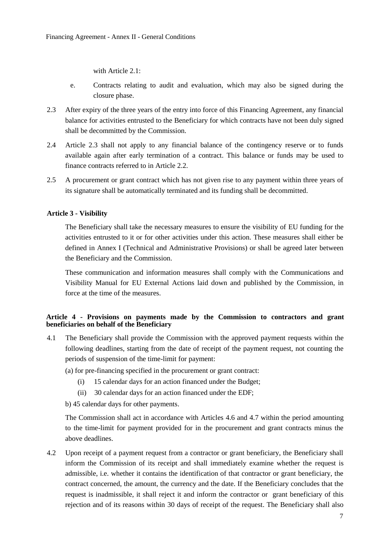with Article 2.1:

- e. Contracts relating to audit and evaluation, which may also be signed during the closure phase.
- 2.3 After expiry of the three years of the entry into force of this Financing Agreement, any financial balance for activities entrusted to the Beneficiary for which contracts have not been duly signed shall be decommitted by the Commission.
- 2.4 Article 2.3 shall not apply to any financial balance of the contingency reserve or to funds available again after early termination of a contract. This balance or funds may be used to finance contracts referred to in Article 2.2.
- 2.5 A procurement or grant contract which has not given rise to any payment within three years of its signature shall be automatically terminated and its funding shall be decommitted.

# <span id="page-6-0"></span>**Article 3 - Visibility**

The Beneficiary shall take the necessary measures to ensure the visibility of EU funding for the activities entrusted to it or for other activities under this action. These measures shall either be defined in Annex I (Technical and Administrative Provisions) or shall be agreed later between the Beneficiary and the Commission.

These communication and information measures shall comply with the Communications and Visibility Manual for EU External Actions laid down and published by the Commission, in force at the time of the measures.

# <span id="page-6-1"></span>**Article 4 - Provisions on payments made by the Commission to contractors and grant beneficiaries on behalf of the Beneficiary**

4.1 The Beneficiary shall provide the Commission with the approved payment requests within the following deadlines, starting from the date of receipt of the payment request, not counting the periods of suspension of the time-limit for payment:

(a) for pre-financing specified in the procurement or grant contract:

- (i) 15 calendar days for an action financed under the Budget;
- (ii) 30 calendar days for an action financed under the EDF;

b) 45 calendar days for other payments.

The Commission shall act in accordance with Articles 4.6 and 4.7 within the period amounting to the time-limit for payment provided for in the procurement and grant contracts minus the above deadlines.

4.2 Upon receipt of a payment request from a contractor or grant beneficiary, the Beneficiary shall inform the Commission of its receipt and shall immediately examine whether the request is admissible, i.e. whether it contains the identification of that contractor or grant beneficiary, the contract concerned, the amount, the currency and the date. If the Beneficiary concludes that the request is inadmissible, it shall reject it and inform the contractor or grant beneficiary of this rejection and of its reasons within 30 days of receipt of the request. The Beneficiary shall also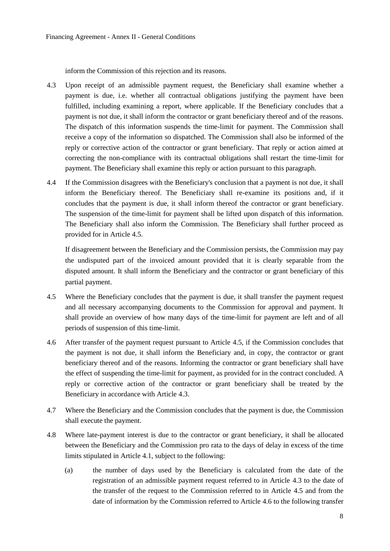inform the Commission of this rejection and its reasons.

- 4.3 Upon receipt of an admissible payment request, the Beneficiary shall examine whether a payment is due, i.e. whether all contractual obligations justifying the payment have been fulfilled, including examining a report, where applicable. If the Beneficiary concludes that a payment is not due, it shall inform the contractor or grant beneficiary thereof and of the reasons. The dispatch of this information suspends the time-limit for payment. The Commission shall receive a copy of the information so dispatched. The Commission shall also be informed of the reply or corrective action of the contractor or grant beneficiary. That reply or action aimed at correcting the non-compliance with its contractual obligations shall restart the time-limit for payment. The Beneficiary shall examine this reply or action pursuant to this paragraph.
- 4.4 If the Commission disagrees with the Beneficiary's conclusion that a payment is not due, it shall inform the Beneficiary thereof. The Beneficiary shall re-examine its positions and, if it concludes that the payment is due, it shall inform thereof the contractor or grant beneficiary. The suspension of the time-limit for payment shall be lifted upon dispatch of this information. The Beneficiary shall also inform the Commission. The Beneficiary shall further proceed as provided for in Article 4.5.

If disagreement between the Beneficiary and the Commission persists, the Commission may pay the undisputed part of the invoiced amount provided that it is clearly separable from the disputed amount. It shall inform the Beneficiary and the contractor or grant beneficiary of this partial payment.

- 4.5 Where the Beneficiary concludes that the payment is due, it shall transfer the payment request and all necessary accompanying documents to the Commission for approval and payment. It shall provide an overview of how many days of the time-limit for payment are left and of all periods of suspension of this time-limit.
- 4.6 After transfer of the payment request pursuant to Article 4.5, if the Commission concludes that the payment is not due, it shall inform the Beneficiary and, in copy, the contractor or grant beneficiary thereof and of the reasons. Informing the contractor or grant beneficiary shall have the effect of suspending the time-limit for payment, as provided for in the contract concluded. A reply or corrective action of the contractor or grant beneficiary shall be treated by the Beneficiary in accordance with Article 4.3.
- 4.7 Where the Beneficiary and the Commission concludes that the payment is due, the Commission shall execute the payment.
- 4.8 Where late-payment interest is due to the contractor or grant beneficiary, it shall be allocated between the Beneficiary and the Commission pro rata to the days of delay in excess of the time limits stipulated in Article 4.1, subject to the following:
	- (a) the number of days used by the Beneficiary is calculated from the date of the registration of an admissible payment request referred to in Article 4.3 to the date of the transfer of the request to the Commission referred to in Article 4.5 and from the date of information by the Commission referred to Article 4.6 to the following transfer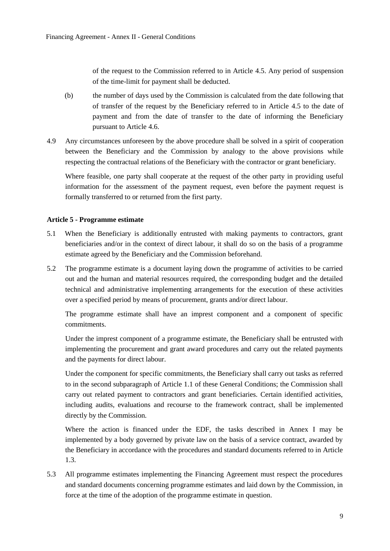of the request to the Commission referred to in Article 4.5. Any period of suspension of the time-limit for payment shall be deducted.

- (b) the number of days used by the Commission is calculated from the date following that of transfer of the request by the Beneficiary referred to in Article 4.5 to the date of payment and from the date of transfer to the date of informing the Beneficiary pursuant to Article 4.6.
- 4.9 Any circumstances unforeseen by the above procedure shall be solved in a spirit of cooperation between the Beneficiary and the Commission by analogy to the above provisions while respecting the contractual relations of the Beneficiary with the contractor or grant beneficiary.

Where feasible, one party shall cooperate at the request of the other party in providing useful information for the assessment of the payment request, even before the payment request is formally transferred to or returned from the first party.

# <span id="page-8-0"></span>**Article 5 - Programme estimate**

- 5.1 When the Beneficiary is additionally entrusted with making payments to contractors, grant beneficiaries and/or in the context of direct labour, it shall do so on the basis of a programme estimate agreed by the Beneficiary and the Commission beforehand.
- 5.2 The programme estimate is a document laying down the programme of activities to be carried out and the human and material resources required, the corresponding budget and the detailed technical and administrative implementing arrangements for the execution of these activities over a specified period by means of procurement, grants and/or direct labour.

The programme estimate shall have an imprest component and a component of specific commitments.

Under the imprest component of a programme estimate, the Beneficiary shall be entrusted with implementing the procurement and grant award procedures and carry out the related payments and the payments for direct labour.

Under the component for specific commitments, the Beneficiary shall carry out tasks as referred to in the second subparagraph of Article 1.1 of these General Conditions; the Commission shall carry out related payment to contractors and grant beneficiaries. Certain identified activities, including audits, evaluations and recourse to the framework contract, shall be implemented directly by the Commission.

Where the action is financed under the EDF, the tasks described in Annex I may be implemented by a body governed by private law on the basis of a service contract, awarded by the Beneficiary in accordance with the procedures and standard documents referred to in Article 1.3.

5.3 All programme estimates implementing the Financing Agreement must respect the procedures and standard documents concerning programme estimates and laid down by the Commission, in force at the time of the adoption of the programme estimate in question.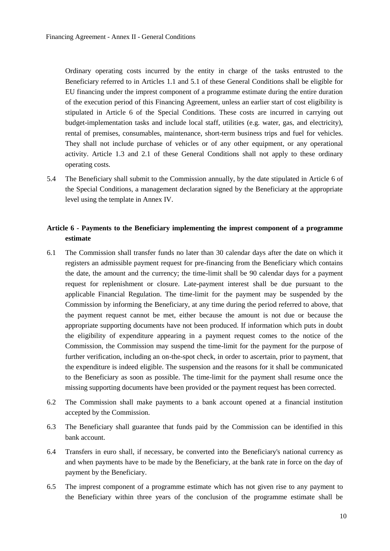Ordinary operating costs incurred by the entity in charge of the tasks entrusted to the Beneficiary referred to in Articles 1.1 and 5.1 of these General Conditions shall be eligible for EU financing under the imprest component of a programme estimate during the entire duration of the execution period of this Financing Agreement, unless an earlier start of cost eligibility is stipulated in Article 6 of the Special Conditions. These costs are incurred in carrying out budget-implementation tasks and include local staff, utilities (e.g. water, gas, and electricity), rental of premises, consumables, maintenance, short-term business trips and fuel for vehicles. They shall not include purchase of vehicles or of any other equipment, or any operational activity. Article 1.3 and 2.1 of these General Conditions shall not apply to these ordinary operating costs.

5.4 The Beneficiary shall submit to the Commission annually, by the date stipulated in Article 6 of the Special Conditions, a management declaration signed by the Beneficiary at the appropriate level using the template in Annex IV.

# <span id="page-9-0"></span>**Article 6 - Payments to the Beneficiary implementing the imprest component of a programme estimate**

- 6.1 The Commission shall transfer funds no later than 30 calendar days after the date on which it registers an admissible payment request for pre-financing from the Beneficiary which contains the date, the amount and the currency; the time-limit shall be 90 calendar days for a payment request for replenishment or closure. Late-payment interest shall be due pursuant to the applicable Financial Regulation. The time-limit for the payment may be suspended by the Commission by informing the Beneficiary, at any time during the period referred to above, that the payment request cannot be met, either because the amount is not due or because the appropriate supporting documents have not been produced. If information which puts in doubt the eligibility of expenditure appearing in a payment request comes to the notice of the Commission, the Commission may suspend the time-limit for the payment for the purpose of further verification, including an on-the-spot check, in order to ascertain, prior to payment, that the expenditure is indeed eligible. The suspension and the reasons for it shall be communicated to the Beneficiary as soon as possible. The time-limit for the payment shall resume once the missing supporting documents have been provided or the payment request has been corrected.
- 6.2 The Commission shall make payments to a bank account opened at a financial institution accepted by the Commission.
- 6.3 The Beneficiary shall guarantee that funds paid by the Commission can be identified in this bank account.
- 6.4 Transfers in euro shall, if necessary, be converted into the Beneficiary's national currency as and when payments have to be made by the Beneficiary, at the bank rate in force on the day of payment by the Beneficiary.
- 6.5 The imprest component of a programme estimate which has not given rise to any payment to the Beneficiary within three years of the conclusion of the programme estimate shall be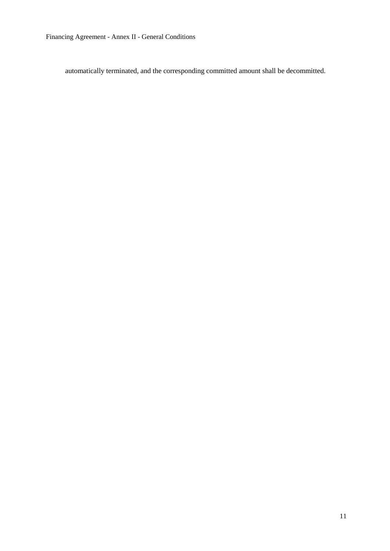Financing Agreement - Annex II - General Conditions

automatically terminated, and the corresponding committed amount shall be decommitted.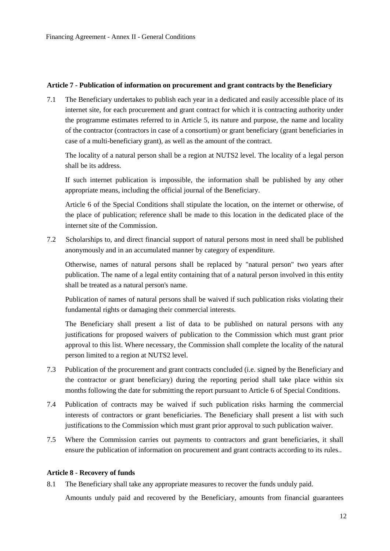### <span id="page-11-0"></span>**Article 7 - Publication of information on procurement and grant contracts by the Beneficiary**

7.1 The Beneficiary undertakes to publish each year in a dedicated and easily accessible place of its internet site, for each procurement and grant contract for which it is contracting authority under the programme estimates referred to in Article 5, its nature and purpose, the name and locality of the contractor (contractors in case of a consortium) or grant beneficiary (grant beneficiaries in case of a multi-beneficiary grant), as well as the amount of the contract.

The locality of a natural person shall be a region at NUTS2 level. The locality of a legal person shall be its address.

If such internet publication is impossible, the information shall be published by any other appropriate means, including the official journal of the Beneficiary.

Article 6 of the Special Conditions shall stipulate the location, on the internet or otherwise, of the place of publication; reference shall be made to this location in the dedicated place of the internet site of the Commission.

7.2 Scholarships to, and direct financial support of natural persons most in need shall be published anonymously and in an accumulated manner by category of expenditure.

Otherwise, names of natural persons shall be replaced by "natural person" two years after publication. The name of a legal entity containing that of a natural person involved in this entity shall be treated as a natural person's name.

Publication of names of natural persons shall be waived if such publication risks violating their fundamental rights or damaging their commercial interests.

The Beneficiary shall present a list of data to be published on natural persons with any justifications for proposed waivers of publication to the Commission which must grant prior approval to this list. Where necessary, the Commission shall complete the locality of the natural person limited to a region at NUTS2 level.

- 7.3 Publication of the procurement and grant contracts concluded (i.e. signed by the Beneficiary and the contractor or grant beneficiary) during the reporting period shall take place within six months following the date for submitting the report pursuant to Article 6 of Special Conditions.
- 7.4 Publication of contracts may be waived if such publication risks harming the commercial interests of contractors or grant beneficiaries. The Beneficiary shall present a list with such justifications to the Commission which must grant prior approval to such publication waiver.
- 7.5 Where the Commission carries out payments to contractors and grant beneficiaries, it shall ensure the publication of information on procurement and grant contracts according to its rules..

# <span id="page-11-1"></span>**Article 8 - Recovery of funds**

8.1 The Beneficiary shall take any appropriate measures to recover the funds unduly paid. Amounts unduly paid and recovered by the Beneficiary, amounts from financial guarantees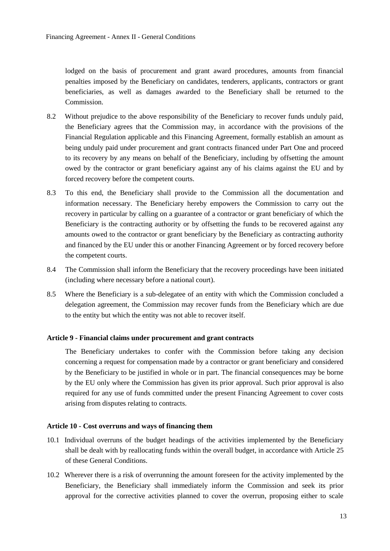lodged on the basis of procurement and grant award procedures, amounts from financial penalties imposed by the Beneficiary on candidates, tenderers, applicants, contractors or grant beneficiaries, as well as damages awarded to the Beneficiary shall be returned to the Commission.

- 8.2 Without prejudice to the above responsibility of the Beneficiary to recover funds unduly paid, the Beneficiary agrees that the Commission may, in accordance with the provisions of the Financial Regulation applicable and this Financing Agreement, formally establish an amount as being unduly paid under procurement and grant contracts financed under Part One and proceed to its recovery by any means on behalf of the Beneficiary, including by offsetting the amount owed by the contractor or grant beneficiary against any of his claims against the EU and by forced recovery before the competent courts.
- 8.3 To this end, the Beneficiary shall provide to the Commission all the documentation and information necessary. The Beneficiary hereby empowers the Commission to carry out the recovery in particular by calling on a guarantee of a contractor or grant beneficiary of which the Beneficiary is the contracting authority or by offsetting the funds to be recovered against any amounts owed to the contractor or grant beneficiary by the Beneficiary as contracting authority and financed by the EU under this or another Financing Agreement or by forced recovery before the competent courts.
- 8.4 The Commission shall inform the Beneficiary that the recovery proceedings have been initiated (including where necessary before a national court).
- 8.5 Where the Beneficiary is a sub-delegatee of an entity with which the Commission concluded a delegation agreement, the Commission may recover funds from the Beneficiary which are due to the entity but which the entity was not able to recover itself.

# <span id="page-12-0"></span>**Article 9 - Financial claims under procurement and grant contracts**

The Beneficiary undertakes to confer with the Commission before taking any decision concerning a request for compensation made by a contractor or grant beneficiary and considered by the Beneficiary to be justified in whole or in part. The financial consequences may be borne by the EU only where the Commission has given its prior approval. Such prior approval is also required for any use of funds committed under the present Financing Agreement to cover costs arising from disputes relating to contracts.

### <span id="page-12-1"></span>**Article 10 - Cost overruns and ways of financing them**

- 10.1 Individual overruns of the budget headings of the activities implemented by the Beneficiary shall be dealt with by reallocating funds within the overall budget, in accordance with Article 25 of these General Conditions.
- 10.2 Wherever there is a risk of overrunning the amount foreseen for the activity implemented by the Beneficiary, the Beneficiary shall immediately inform the Commission and seek its prior approval for the corrective activities planned to cover the overrun, proposing either to scale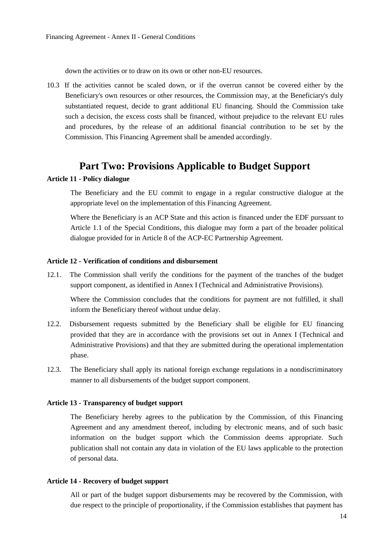down the activities or to draw on its own or other non-EU resources.

10.3 If the activities cannot be scaled down, or if the overrun cannot be covered either by the Beneficiary's own resources or other resources, the Commission may, at the Beneficiary's duly substantiated request, decide to grant additional EU financing. Should the Commission take such a decision, the excess costs shall be financed, without prejudice to the relevant EU rules and procedures, by the release of an additional financial contribution to be set by the Commission. This Financing Agreement shall be amended accordingly.

# **Part Two: Provisions Applicable to Budget Support**

### <span id="page-13-1"></span><span id="page-13-0"></span>**Article 11 - Policy dialogue**

The Beneficiary and the EU commit to engage in a regular constructive dialogue at the appropriate level on the implementation of this Financing Agreement.

Where the Beneficiary is an ACP State and this action is financed under the EDF pursuant to Article 1.1 of the Special Conditions, this dialogue may form a part of the broader political dialogue provided for in Article 8 of the ACP-EC Partnership Agreement.

### <span id="page-13-2"></span>**Article 12 - Verification of conditions and disbursement**

12.1. The Commission shall verify the conditions for the payment of the tranches of the budget support component, as identified in Annex I (Technical and Administrative Provisions).

Where the Commission concludes that the conditions for payment are not fulfilled, it shall inform the Beneficiary thereof without undue delay.

- 12.2. Disbursement requests submitted by the Beneficiary shall be eligible for EU financing provided that they are in accordance with the provisions set out in Annex I (Technical and Administrative Provisions) and that they are submitted during the operational implementation phase.
- 12.3. The Beneficiary shall apply its national foreign exchange regulations in a nondiscriminatory manner to all disbursements of the budget support component.

#### <span id="page-13-3"></span>**Article 13 - Transparency of budget support**

The Beneficiary hereby agrees to the publication by the Commission, of this Financing Agreement and any amendment thereof, including by electronic means, and of such basic information on the budget support which the Commission deems appropriate. Such publication shall not contain any data in violation of the EU laws applicable to the protection of personal data.

### <span id="page-13-4"></span>**Article 14 - Recovery of budget support**

All or part of the budget support disbursements may be recovered by the Commission, with due respect to the principle of proportionality, if the Commission establishes that payment has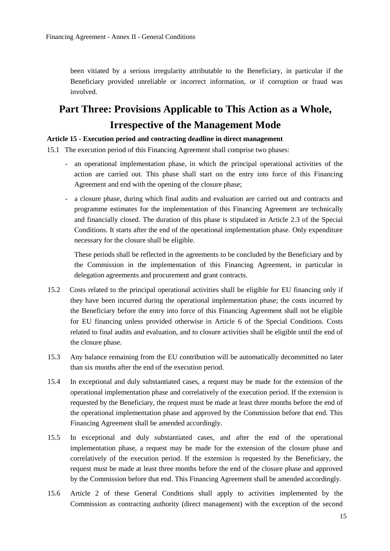been vitiated by a serious irregularity attributable to the Beneficiary, in particular if the Beneficiary provided unreliable or incorrect information, or if corruption or fraud was involved.

# <span id="page-14-0"></span>**Part Three: Provisions Applicable to This Action as a Whole, Irrespective of the Management Mode**

### <span id="page-14-1"></span>**Article 15 - Execution period and contracting deadline in direct management**

15.1 The execution period of this Financing Agreement shall comprise two phases:

- an operational implementation phase, in which the principal operational activities of the action are carried out. This phase shall start on the entry into force of this Financing Agreement and end with the opening of the closure phase;
- a closure phase, during which final audits and evaluation are carried out and contracts and programme estimates for the implementation of this Financing Agreement are technically and financially closed. The duration of this phase is stipulated in Article 2.3 of the Special Conditions. It starts after the end of the operational implementation phase. Only expenditure necessary for the closure shall be eligible.

These periods shall be reflected in the agreements to be concluded by the Beneficiary and by the Commission in the implementation of this Financing Agreement, in particular in delegation agreements and procurement and grant contracts.

- 15.2 Costs related to the principal operational activities shall be eligible for EU financing only if they have been incurred during the operational implementation phase; the costs incurred by the Beneficiary before the entry into force of this Financing Agreement shall not be eligible for EU financing unless provided otherwise in Article 6 of the Special Conditions. Costs related to final audits and evaluation, and to closure activities shall be eligible until the end of the closure phase.
- 15.3 Any balance remaining from the EU contribution will be automatically decommitted no later than six months after the end of the execution period.
- 15.4 In exceptional and duly substantiated cases, a request may be made for the extension of the operational implementation phase and correlatively of the execution period. If the extension is requested by the Beneficiary, the request must be made at least three months before the end of the operational implementation phase and approved by the Commission before that end. This Financing Agreement shall be amended accordingly.
- 15.5 In exceptional and duly substantiated cases, and after the end of the operational implementation phase, a request may be made for the extension of the closure phase and correlatively of the execution period. If the extension is requested by the Beneficiary, the request must be made at least three months before the end of the closure phase and approved by the Commission before that end. This Financing Agreement shall be amended accordingly.
- 15.6 Article 2 of these General Conditions shall apply to activities implemented by the Commission as contracting authority (direct management) with the exception of the second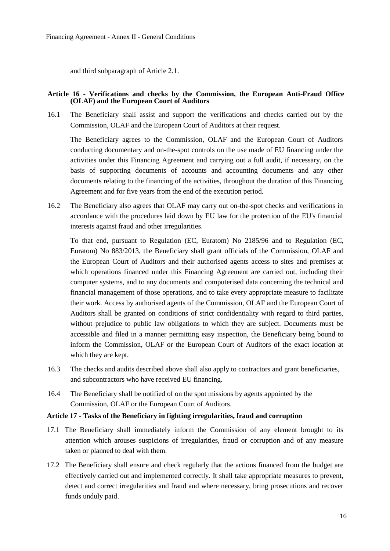and third subparagraph of Article 2.1.

### <span id="page-15-0"></span>**Article 16 - Verifications and checks by the Commission, the European Anti-Fraud Office (OLAF) and the European Court of Auditors**

16.1 The Beneficiary shall assist and support the verifications and checks carried out by the Commission, OLAF and the European Court of Auditors at their request.

The Beneficiary agrees to the Commission, OLAF and the European Court of Auditors conducting documentary and on-the-spot controls on the use made of EU financing under the activities under this Financing Agreement and carrying out a full audit, if necessary, on the basis of supporting documents of accounts and accounting documents and any other documents relating to the financing of the activities, throughout the duration of this Financing Agreement and for five years from the end of the execution period.

16.2 The Beneficiary also agrees that OLAF may carry out on-the-spot checks and verifications in accordance with the procedures laid down by EU law for the protection of the EU's financial interests against fraud and other irregularities.

To that end, pursuant to Regulation (EC, Euratom) No 2185/96 and to Regulation (EC, Euratom) No 883/2013, the Beneficiary shall grant officials of the Commission, OLAF and the European Court of Auditors and their authorised agents access to sites and premises at which operations financed under this Financing Agreement are carried out, including their computer systems, and to any documents and computerised data concerning the technical and financial management of those operations, and to take every appropriate measure to facilitate their work. Access by authorised agents of the Commission, OLAF and the European Court of Auditors shall be granted on conditions of strict confidentiality with regard to third parties, without prejudice to public law obligations to which they are subject. Documents must be accessible and filed in a manner permitting easy inspection, the Beneficiary being bound to inform the Commission, OLAF or the European Court of Auditors of the exact location at which they are kept.

- 16.3 The checks and audits described above shall also apply to contractors and grant beneficiaries, and subcontractors who have received EU financing.
- 16.4 The Beneficiary shall be notified of on the spot missions by agents appointed by the Commission, OLAF or the European Court of Auditors.

#### <span id="page-15-1"></span>**Article 17 - Tasks of the Beneficiary in fighting irregularities, fraud and corruption**

- 17.1 The Beneficiary shall immediately inform the Commission of any element brought to its attention which arouses suspicions of irregularities, fraud or corruption and of any measure taken or planned to deal with them.
- 17.2 The Beneficiary shall ensure and check regularly that the actions financed from the budget are effectively carried out and implemented correctly. It shall take appropriate measures to prevent, detect and correct irregularities and fraud and where necessary, bring prosecutions and recover funds unduly paid.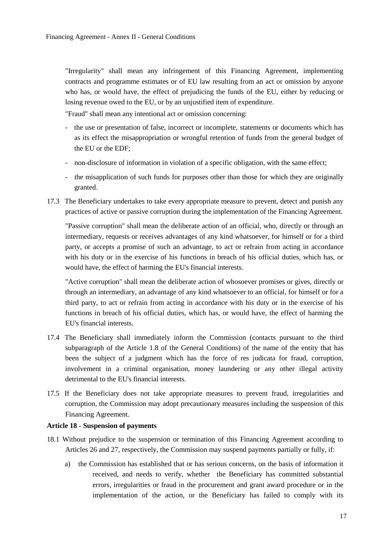"Irregularity" shall mean any infringement of this Financing Agreement, implementing contracts and programme estimates or of EU law resulting from an act or omission by anyone who has, or would have, the effect of prejudicing the funds of the EU, either by reducing or losing revenue owed to the EU, or by an unjustified item of expenditure.

"Fraud" shall mean any intentional act or omission concerning:

- the use or presentation of false, incorrect or incomplete, statements or documents which has as its effect the misappropriation or wrongful retention of funds from the general budget of the EU or the EDF;
- non-disclosure of information in violation of a specific obligation, with the same effect;
- the misapplication of such funds for purposes other than those for which they are originally granted.
- 17.3 The Beneficiary undertakes to take every appropriate measure to prevent, detect and punish any practices of active or passive corruption during the implementation of the Financing Agreement.

"Passive corruption" shall mean the deliberate action of an official, who, directly or through an intermediary, requests or receives advantages of any kind whatsoever, for himself or for a third party, or accepts a promise of such an advantage, to act or refrain from acting in accordance with his duty or in the exercise of his functions in breach of his official duties, which has, or would have, the effect of harming the EU's financial interests.

"Active corruption" shall mean the deliberate action of whosoever promises or gives, directly or through an intermediary, an advantage of any kind whatsoever to an official, for himself or for a third party, to act or refrain from acting in accordance with his duty or in the exercise of his functions in breach of his official duties, which has, or would have, the effect of harming the EU's financial interests.

- 17.4 The Beneficiary shall immediately inform the Commission (contacts pursuant to the third subparagraph of the Article 1.8 of the General Conditions) of the name of the entity that has been the subject of a judgment which has the force of res judicata for fraud, corruption, involvement in a criminal organisation, money laundering or any other illegal activity detrimental to the EU's financial interests.
- 17.5 If the Beneficiary does not take appropriate measures to prevent fraud, irregularities and corruption, the Commission may adopt precautionary measures including the suspension of this Financing Agreement.

### <span id="page-16-0"></span>**Article 18 - Suspension of payments**

- 18.1 Without prejudice to the suspension or termination of this Financing Agreement according to Articles 26 and 27, respectively, the Commission may suspend payments partially or fully, if:
	- a) the Commission has established that or has serious concerns, on the basis of information it received, and needs to verify, whether the Beneficiary has committed substantial errors, irregularities or fraud in the procurement and grant award procedure or in the implementation of the action, or the Beneficiary has failed to comply with its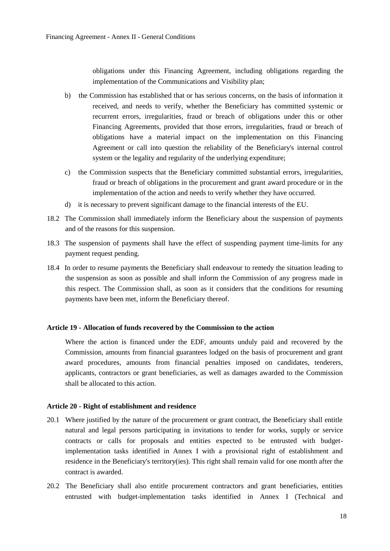obligations under this Financing Agreement, including obligations regarding the implementation of the Communications and Visibility plan;

- b) the Commission has established that or has serious concerns, on the basis of information it received, and needs to verify, whether the Beneficiary has committed systemic or recurrent errors, irregularities, fraud or breach of obligations under this or other Financing Agreements, provided that those errors, irregularities, fraud or breach of obligations have a material impact on the implementation on this Financing Agreement or call into question the reliability of the Beneficiary's internal control system or the legality and regularity of the underlying expenditure;
- c) the Commission suspects that the Beneficiary committed substantial errors, irregularities, fraud or breach of obligations in the procurement and grant award procedure or in the implementation of the action and needs to verify whether they have occurred.
- d) it is necessary to prevent significant damage to the financial interests of the EU.
- 18.2 The Commission shall immediately inform the Beneficiary about the suspension of payments and of the reasons for this suspension.
- 18.3 The suspension of payments shall have the effect of suspending payment time-limits for any payment request pending.
- 18.4 In order to resume payments the Beneficiary shall endeavour to remedy the situation leading to the suspension as soon as possible and shall inform the Commission of any progress made in this respect. The Commission shall, as soon as it considers that the conditions for resuming payments have been met, inform the Beneficiary thereof.

### <span id="page-17-0"></span>**Article 19 - Allocation of funds recovered by the Commission to the action**

Where the action is financed under the EDF, amounts unduly paid and recovered by the Commission, amounts from financial guarantees lodged on the basis of procurement and grant award procedures, amounts from financial penalties imposed on candidates, tenderers, applicants, contractors or grant beneficiaries, as well as damages awarded to the Commission shall be allocated to this action.

### <span id="page-17-1"></span>**Article 20 - Right of establishment and residence**

- 20.1 Where justified by the nature of the procurement or grant contract, the Beneficiary shall entitle natural and legal persons participating in invitations to tender for works, supply or service contracts or calls for proposals and entities expected to be entrusted with budgetimplementation tasks identified in Annex I with a provisional right of establishment and residence in the Beneficiary's territory(ies). This right shall remain valid for one month after the contract is awarded.
- 20.2 The Beneficiary shall also entitle procurement contractors and grant beneficiaries, entities entrusted with budget-implementation tasks identified in Annex I (Technical and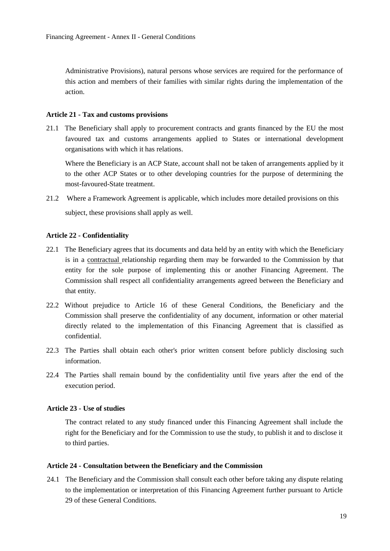Administrative Provisions), natural persons whose services are required for the performance of this action and members of their families with similar rights during the implementation of the action.

### <span id="page-18-0"></span>**Article 21 - Tax and customs provisions**

21.1 The Beneficiary shall apply to procurement contracts and grants financed by the EU the most favoured tax and customs arrangements applied to States or international development organisations with which it has relations.

Where the Beneficiary is an ACP State, account shall not be taken of arrangements applied by it to the other ACP States or to other developing countries for the purpose of determining the most-favoured-State treatment.

21.2 Where a Framework Agreement is applicable, which includes more detailed provisions on this subject, these provisions shall apply as well.

### <span id="page-18-1"></span>**Article 22 - Confidentiality**

- 22.1 The Beneficiary agrees that its documents and data held by an entity with which the Beneficiary is in a contractual relationship regarding them may be forwarded to the Commission by that entity for the sole purpose of implementing this or another Financing Agreement. The Commission shall respect all confidentiality arrangements agreed between the Beneficiary and that entity.
- 22.2 Without prejudice to Article 16 of these General Conditions, the Beneficiary and the Commission shall preserve the confidentiality of any document, information or other material directly related to the implementation of this Financing Agreement that is classified as confidential.
- 22.3 The Parties shall obtain each other's prior written consent before publicly disclosing such information.
- 22.4 The Parties shall remain bound by the confidentiality until five years after the end of the execution period.

### <span id="page-18-2"></span>**Article 23 - Use of studies**

The contract related to any study financed under this Financing Agreement shall include the right for the Beneficiary and for the Commission to use the study, to publish it and to disclose it to third parties.

#### <span id="page-18-3"></span>**Article 24 - Consultation between the Beneficiary and the Commission**

24.1 The Beneficiary and the Commission shall consult each other before taking any dispute relating to the implementation or interpretation of this Financing Agreement further pursuant to Article 29 of these General Conditions.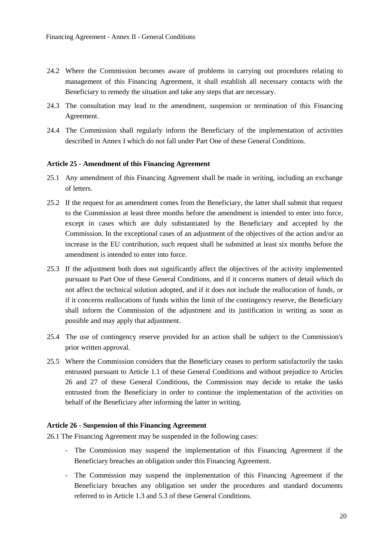- 24.2 Where the Commission becomes aware of problems in carrying out procedures relating to management of this Financing Agreement, it shall establish all necessary contacts with the Beneficiary to remedy the situation and take any steps that are necessary.
- 24.3 The consultation may lead to the amendment, suspension or termination of this Financing Agreement.
- 24.4 The Commission shall regularly inform the Beneficiary of the implementation of activities described in Annex I which do not fall under Part One of these General Conditions.

### <span id="page-19-0"></span>**Article 25 - Amendment of this Financing Agreement**

- 25.1 Any amendment of this Financing Agreement shall be made in writing, including an exchange of letters.
- 25.2 If the request for an amendment comes from the Beneficiary, the latter shall submit that request to the Commission at least three months before the amendment is intended to enter into force, except in cases which are duly substantiated by the Beneficiary and accepted by the Commission. In the exceptional cases of an adjustment of the objectives of the action and/or an increase in the EU contribution, such request shall be submitted at least six months before the amendment is intended to enter into force.
- 25.3 If the adjustment both does not significantly affect the objectives of the activity implemented pursuant to Part One of these General Conditions, and if it concerns matters of detail which do not affect the technical solution adopted, and if it does not include the reallocation of funds, or if it concerns reallocations of funds within the limit of the contingency reserve, the Beneficiary shall inform the Commission of the adjustment and its justification in writing as soon as possible and may apply that adjustment.
- 25.4 The use of contingency reserve provided for an action shall be subject to the Commission's prior written approval.
- 25.5 Where the Commission considers that the Beneficiary ceases to perform satisfactorily the tasks entrusted pursuant to Article 1.1 of these General Conditions and without prejudice to Articles 26 and 27 of these General Conditions, the Commission may decide to retake the tasks entrusted from the Beneficiary in order to continue the implementation of the activities on behalf of the Beneficiary after informing the latter in writing.

### <span id="page-19-1"></span>**Article 26 - Suspension of this Financing Agreement**

26.1 The Financing Agreement may be suspended in the following cases:

- The Commission may suspend the implementation of this Financing Agreement if the Beneficiary breaches an obligation under this Financing Agreement.
- The Commission may suspend the implementation of this Financing Agreement if the Beneficiary breaches any obligation set under the procedures and standard documents referred to in Article 1.3 and 5.3 of these General Conditions.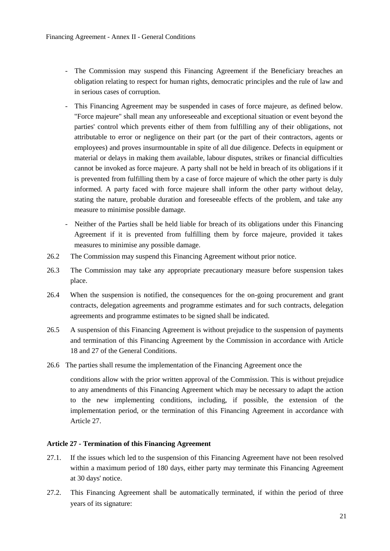- The Commission may suspend this Financing Agreement if the Beneficiary breaches an obligation relating to respect for human rights, democratic principles and the rule of law and in serious cases of corruption.
- This Financing Agreement may be suspended in cases of force majeure, as defined below. "Force majeure" shall mean any unforeseeable and exceptional situation or event beyond the parties' control which prevents either of them from fulfilling any of their obligations, not attributable to error or negligence on their part (or the part of their contractors, agents or employees) and proves insurmountable in spite of all due diligence. Defects in equipment or material or delays in making them available, labour disputes, strikes or financial difficulties cannot be invoked as force majeure. A party shall not be held in breach of its obligations if it is prevented from fulfilling them by a case of force majeure of which the other party is duly informed. A party faced with force majeure shall inform the other party without delay, stating the nature, probable duration and foreseeable effects of the problem, and take any measure to minimise possible damage.
- Neither of the Parties shall be held liable for breach of its obligations under this Financing Agreement if it is prevented from fulfilling them by force majeure, provided it takes measures to minimise any possible damage.
- 26.2 The Commission may suspend this Financing Agreement without prior notice.
- 26.3 The Commission may take any appropriate precautionary measure before suspension takes place.
- 26.4 When the suspension is notified, the consequences for the on-going procurement and grant contracts, delegation agreements and programme estimates and for such contracts, delegation agreements and programme estimates to be signed shall be indicated.
- 26.5 A suspension of this Financing Agreement is without prejudice to the suspension of payments and termination of this Financing Agreement by the Commission in accordance with Article 18 and 27 of the General Conditions.
- 26.6 The parties shall resume the implementation of the Financing Agreement once the

conditions allow with the prior written approval of the Commission. This is without prejudice to any amendments of this Financing Agreement which may be necessary to adapt the action to the new implementing conditions, including, if possible, the extension of the implementation period, or the termination of this Financing Agreement in accordance with Article 27.

### <span id="page-20-0"></span>**Article 27 - Termination of this Financing Agreement**

- 27.1. If the issues which led to the suspension of this Financing Agreement have not been resolved within a maximum period of 180 days, either party may terminate this Financing Agreement at 30 days' notice.
- 27.2. This Financing Agreement shall be automatically terminated, if within the period of three years of its signature: